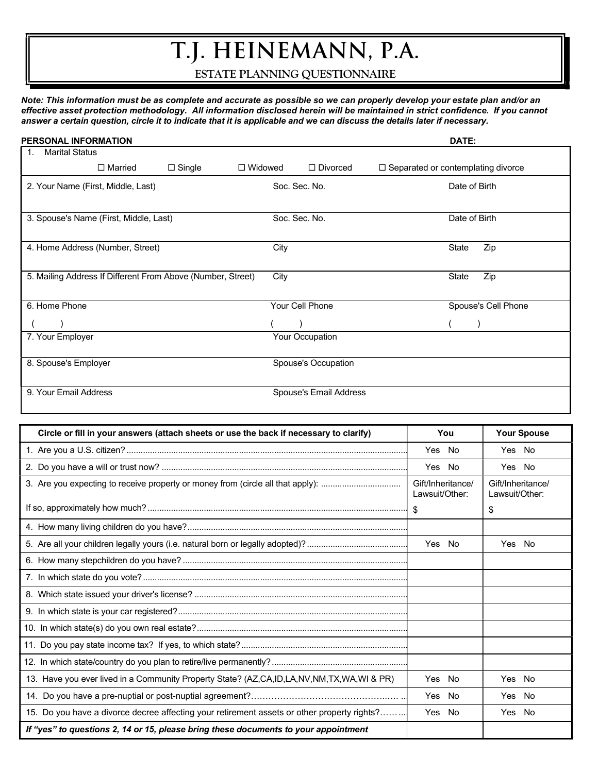# T.J. HEINEMANN, P.A.

ESTATE PLANNING QUESTIONNAIRE

Note: This information must be as complete and accurate as possible so we can properly develop your estate plan and/or an effective asset protection methodology. All information disclosed herein will be maintained in strict confidence. If you cannot answer a certain question, circle it to indicate that it is applicable and we can discuss the details later if necessary.

| <b>PERSONAL INFORMATION</b>                                 |                                 |      |                        | DATE:                                |
|-------------------------------------------------------------|---------------------------------|------|------------------------|--------------------------------------|
| <b>Marital Status</b><br>$\mathbf{1}$ .                     |                                 |      |                        |                                      |
| $\Box$ Married                                              | $\Box$ Single<br>$\Box$ Widowed |      | $\Box$ Divorced        | □ Separated or contemplating divorce |
| 2. Your Name (First, Middle, Last)                          |                                 |      | Soc. Sec. No.          | Date of Birth                        |
| 3. Spouse's Name (First, Middle, Last)                      |                                 |      | Soc. Sec. No.          | Date of Birth                        |
| 4. Home Address (Number, Street)                            |                                 | City |                        | Zip<br>State                         |
| 5. Mailing Address If Different From Above (Number, Street) |                                 | City |                        | State<br>Zip                         |
| 6. Home Phone                                               |                                 |      | Your Cell Phone        | Spouse's Cell Phone                  |
|                                                             |                                 |      |                        |                                      |
| 7. Your Employer                                            |                                 |      | Your Occupation        |                                      |
| 8. Spouse's Employer                                        |                                 |      | Spouse's Occupation    |                                      |
| 9. Your Email Address                                       |                                 |      | Spouse's Email Address |                                      |

| Circle or fill in your answers (attach sheets or use the back if necessary to clarify)      | You                                 | <b>Your Spouse</b>                  |
|---------------------------------------------------------------------------------------------|-------------------------------------|-------------------------------------|
|                                                                                             | Yes No                              | Yes No                              |
|                                                                                             | Yes No                              | Yes No                              |
| 3. Are you expecting to receive property or money from (circle all that apply):             | Gift/Inheritance/<br>Lawsuit/Other: | Gift/Inheritance/<br>Lawsuit/Other: |
|                                                                                             |                                     | \$                                  |
|                                                                                             |                                     |                                     |
|                                                                                             | Yes No                              | Yes No                              |
|                                                                                             |                                     |                                     |
|                                                                                             |                                     |                                     |
|                                                                                             |                                     |                                     |
|                                                                                             |                                     |                                     |
|                                                                                             |                                     |                                     |
|                                                                                             |                                     |                                     |
|                                                                                             |                                     |                                     |
| 13. Have you ever lived in a Community Property State? (AZ,CA,ID,LA,NV,NM,TX,WA,WI & PR)    | Yes No                              | Yes No                              |
|                                                                                             | Yes No                              | Yes No                              |
| 15. Do you have a divorce decree affecting your retirement assets or other property rights? | Yes No                              | Yes No                              |
| If "yes" to questions 2, 14 or 15, please bring these documents to your appointment         |                                     |                                     |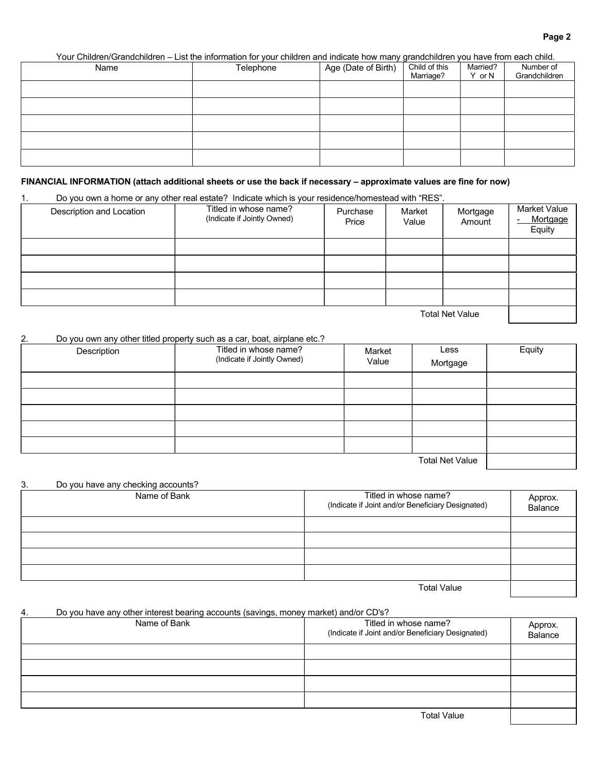Your Children/Grandchildren – List the information for your children and indicate how many grandchildren you have from each child.

| Name | Telephone | Age (Date of Birth) | Child of this<br>Marriage? | Married?<br>Y or N | Number of<br>Grandchildren |
|------|-----------|---------------------|----------------------------|--------------------|----------------------------|
|      |           |                     |                            |                    |                            |
|      |           |                     |                            |                    |                            |
|      |           |                     |                            |                    |                            |
|      |           |                     |                            |                    |                            |
|      |           |                     |                            |                    |                            |

# FINANCIAL INFORMATION (attach additional sheets or use the back if necessary – approximate values are fine for now)

1. Do you own a home or any other real estate? Indicate which is your residence/homestead with "RES".

| Description and Location | Titled in whose name?<br>(Indicate if Jointly Owned) | Purchase<br>Price | Market<br>Value | Mortgage<br>Amount | Market Value<br>Mortgage<br>Equity |
|--------------------------|------------------------------------------------------|-------------------|-----------------|--------------------|------------------------------------|
|                          |                                                      |                   |                 |                    |                                    |
|                          |                                                      |                   |                 |                    |                                    |
|                          |                                                      |                   |                 |                    |                                    |
|                          |                                                      |                   |                 |                    |                                    |

Total Net Value

# 2. Do you own any other titled property such as a car, boat, airplane etc.?

| Description | Titled in whose name?<br>(Indicate if Jointly Owned) | Market<br>Value | Less<br>Mortgage       | Equity |
|-------------|------------------------------------------------------|-----------------|------------------------|--------|
|             |                                                      |                 |                        |        |
|             |                                                      |                 |                        |        |
|             |                                                      |                 |                        |        |
|             |                                                      |                 |                        |        |
|             |                                                      |                 |                        |        |
|             |                                                      |                 | <b>Total Net Value</b> |        |

| 3. | Do you have any checking accounts? |                                                                            |                    |
|----|------------------------------------|----------------------------------------------------------------------------|--------------------|
|    | Name of Bank                       | Titled in whose name?<br>(Indicate if Joint and/or Beneficiary Designated) | Approx.<br>Balance |
|    |                                    |                                                                            |                    |
|    |                                    |                                                                            |                    |
|    |                                    |                                                                            |                    |
|    |                                    |                                                                            |                    |
|    |                                    | <b>Total Value</b>                                                         |                    |

# 4. Do you have any other interest bearing accounts (savings, money market) and/or CD's?

| Name of Bank | Titled in whose name?<br>(Indicate if Joint and/or Beneficiary Designated) | Approx.<br>Balance |
|--------------|----------------------------------------------------------------------------|--------------------|
|              |                                                                            |                    |
|              |                                                                            |                    |
|              |                                                                            |                    |
|              |                                                                            |                    |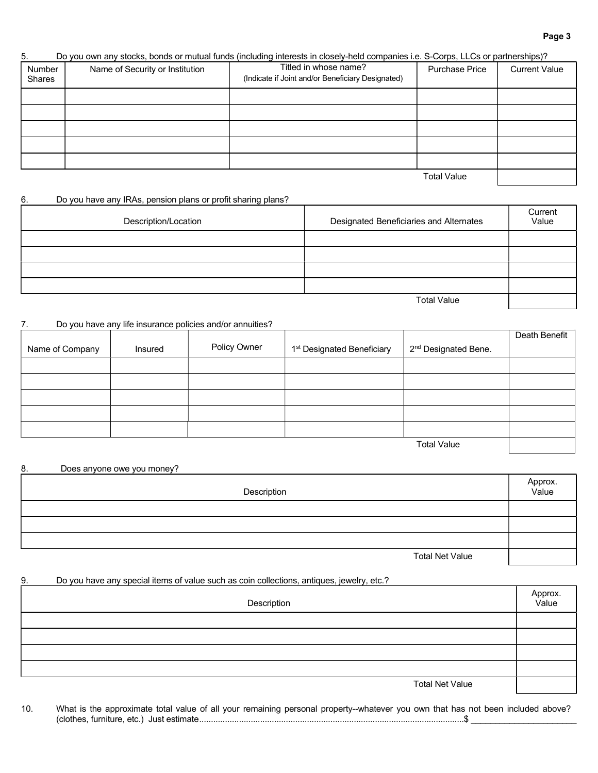#### Page 3

# 5. Do you own any stocks, bonds or mutual funds (including interests in closely-held companies i.e. S-Corps, LLCs or partnerships)?

| Number<br>Shares | Name of Security or Institution | Titled in whose name?<br>(Indicate if Joint and/or Beneficiary Designated) | Purchase Price     | <b>Current Value</b> |
|------------------|---------------------------------|----------------------------------------------------------------------------|--------------------|----------------------|
|                  |                                 |                                                                            |                    |                      |
|                  |                                 |                                                                            |                    |                      |
|                  |                                 |                                                                            |                    |                      |
|                  |                                 |                                                                            |                    |                      |
|                  |                                 |                                                                            |                    |                      |
|                  |                                 |                                                                            | <b>Total Value</b> |                      |

# 6. Do you have any IRAs, pension plans or profit sharing plans?

| Description/Location | Designated Beneficiaries and Alternates | Current<br>Value |
|----------------------|-----------------------------------------|------------------|
|                      |                                         |                  |
|                      |                                         |                  |
|                      |                                         |                  |
|                      |                                         |                  |
|                      | <b>Total Value</b>                      |                  |

#### 7. Do you have any life insurance policies and/or annuities?

|                 |         |              |                                        |                                  | Death Benefit |
|-----------------|---------|--------------|----------------------------------------|----------------------------------|---------------|
| Name of Company | Insured | Policy Owner | 1 <sup>st</sup> Designated Beneficiary | 2 <sup>nd</sup> Designated Bene. |               |
|                 |         |              |                                        |                                  |               |
|                 |         |              |                                        |                                  |               |
|                 |         |              |                                        |                                  |               |
|                 |         |              |                                        |                                  |               |
|                 |         |              |                                        |                                  |               |
|                 |         |              |                                        | <b>Total Value</b>               |               |

| 8. | Does anyone owe you money? |                  |
|----|----------------------------|------------------|
|    | Description                | Approx.<br>Value |
|    |                            |                  |
|    |                            |                  |
|    |                            |                  |
|    | <b>Total Net Value</b>     |                  |

#### 9. Do you have any special items of value such as coin collections, antiques, jewelry, etc.?

| Description            | Approx.<br>Value |
|------------------------|------------------|
|                        |                  |
|                        |                  |
|                        |                  |
|                        |                  |
| <b>Total Net Value</b> |                  |

10. What is the approximate total value of all your remaining personal property--whatever you own that has not been included above? (clothes, furniture, etc.) Just estimate .................................................................................................................\$ \_\_\_\_\_\_\_\_\_\_\_\_\_\_\_\_\_\_\_\_\_\_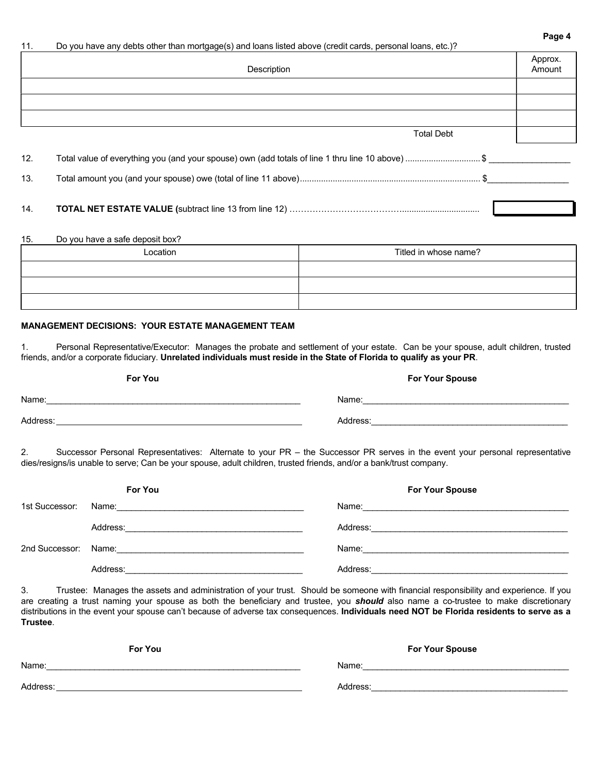| 11. | Do you have any debts other than mortgage(s) and loans listed above (credit cards, personal loans, etc.)? |                   |
|-----|-----------------------------------------------------------------------------------------------------------|-------------------|
|     | Description                                                                                               | Approx.<br>Amount |
|     |                                                                                                           |                   |
|     |                                                                                                           |                   |
|     | <b>Total Debt</b>                                                                                         |                   |
| 12. | Total value of everything you (and your spouse) own (add totals of line 1 thru line 10 above) \$          |                   |
| 13. |                                                                                                           |                   |
|     |                                                                                                           |                   |

Page 4

14. TOTAL NET ESTATE VALUE (subtract line 13 from line 12) ………………………………….................................

# 15. Do you have a safe deposit box?

| Location | Titled in whose name? |
|----------|-----------------------|
|          |                       |
|          |                       |
|          |                       |

# MANAGEMENT DECISIONS: YOUR ESTATE MANAGEMENT TEAM

1. Personal Representative/Executor: Manages the probate and settlement of your estate. Can be your spouse, adult children, trusted friends, and/or a corporate fiduciary. Unrelated individuals must reside in the State of Florida to qualify as your PR.

| For You  | <b>For Your Spouse</b> |
|----------|------------------------|
| Name:    | Name:                  |
| Address: | Address:               |

2. Successor Personal Representatives: Alternate to your PR – the Successor PR serves in the event your personal representative dies/resigns/is unable to serve; Can be your spouse, adult children, trusted friends, and/or a bank/trust company.

|                | <b>For You</b>                                                                                                 | <b>For Your Spouse</b>                           |
|----------------|----------------------------------------------------------------------------------------------------------------|--------------------------------------------------|
| 1st Successor: | Name: 2008 2009 2010 2021 2022 2023 2024 2022 2022 2023 2024 2022 2023 2024 2022 2023 2024 2022 2023 2024 2022 |                                                  |
|                | Address:<br><u> 1980 - John Stone, Amerikaansk politiker (* 1900)</u>                                          |                                                  |
|                |                                                                                                                | Name: <u>___________________________________</u> |
|                | Address:                                                                                                       | Address:                                         |

3. Trustee: Manages the assets and administration of your trust. Should be someone with financial responsibility and experience. If you are creating a trust naming your spouse as both the beneficiary and trustee, you should also name a co-trustee to make discretionary distributions in the event your spouse can't because of adverse tax consequences. Individuals need NOT be Florida residents to serve as a Trustee.

| For You  | <b>For Your Spouse</b> |
|----------|------------------------|
| Name:    | Name:                  |
| Address: | Address:               |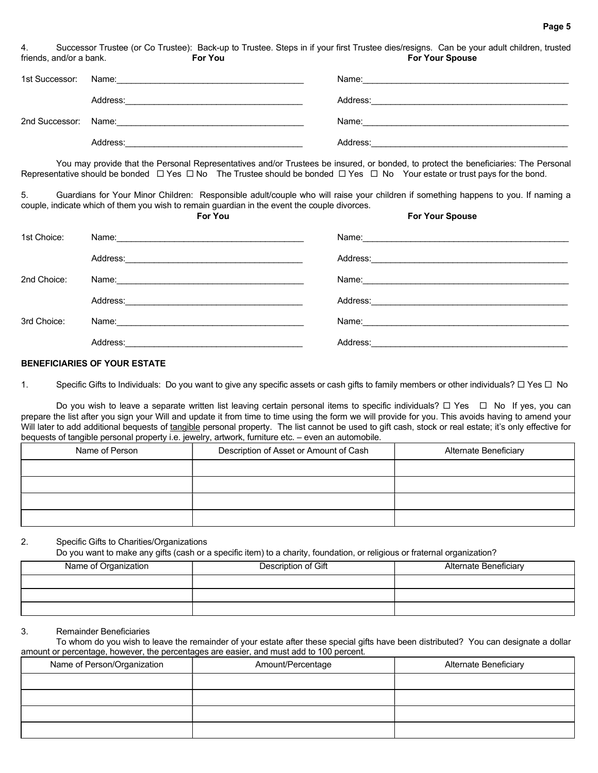4. Successor Trustee (or Co Trustee): Back-up to Trustee. Steps in if your first Trustee dies/resigns. Can be your adult children, trusted friends, and/or a bank. **For You For You For Your Spouse** For Your Spouse For Your Spouse

| 1st Successor: Name: |          | Name:                                                                                                          |
|----------------------|----------|----------------------------------------------------------------------------------------------------------------|
|                      | Address: | Address:                                                                                                       |
| 2nd Successor: Name: |          | Name: with the contract of the contract of the contract of the contract of the contract of the contract of the |
|                      | Address: | Address:                                                                                                       |

 You may provide that the Personal Representatives and/or Trustees be insured, or bonded, to protect the beneficiaries: The Personal Representative should be bonded  $\Box$  Yes  $\Box$  No The Trustee should be bonded  $\Box$  Yes  $\Box$  No Your estate or trust pays for the bond.

5. Guardians for Your Minor Children: Responsible adult/couple who will raise your children if something happens to you. If naming a couple, indicate which of them you wish to remain guardian in the event the couple divorces.

|             | <b>For You</b>                                                                                                                     | <b>For Your Spouse</b>                                                                                         |
|-------------|------------------------------------------------------------------------------------------------------------------------------------|----------------------------------------------------------------------------------------------------------------|
| 1st Choice: |                                                                                                                                    | Name: 2008 2009 2010 2021 2022 2023 2024 2022 2023 2024 2022 2023 2024 2022 2023 2024 2022 2023 2024 2022 2023 |
|             | Address:<br><u> 1989 - Johann Stein, skriuwer en fan it ferskearre fan it ferskearre fan it ferskearre fan it ferskearre fan i</u> |                                                                                                                |
| 2nd Choice: |                                                                                                                                    |                                                                                                                |
|             | Address:<br>the contract of the contract of the contract of the contract of the contract of                                        |                                                                                                                |
| 3rd Choice: |                                                                                                                                    | Name: <u>________________________________</u>                                                                  |
|             | Address:                                                                                                                           | Address:                                                                                                       |

#### BENEFICIARIES OF YOUR ESTATE

1. Specific Gifts to Individuals: Do you want to give any specific assets or cash gifts to family members or other individuals?  $\Box$  Yes  $\Box$  No

Do you wish to leave a separate written list leaving certain personal items to specific individuals?  $\Box$  Yes  $\Box$  No If yes, you can prepare the list after you sign your Will and update it from time to time using the form we will provide for you. This avoids having to amend your Will later to add additional bequests of tangible personal property. The list cannot be used to gift cash, stock or real estate; it's only effective for bequests of tangible personal property i.e. jewelry, artwork, furniture etc. – even an automobile.

| Name of Person | Description of Asset or Amount of Cash | <b>Alternate Beneficiary</b> |
|----------------|----------------------------------------|------------------------------|
|                |                                        |                              |
|                |                                        |                              |
|                |                                        |                              |
|                |                                        |                              |

## 2. Specific Gifts to Charities/Organizations

Do you want to make any gifts (cash or a specific item) to a charity, foundation, or religious or fraternal organization?

| Name of Organization | Description of Gift | <b>Alternate Beneficiary</b> |
|----------------------|---------------------|------------------------------|
|                      |                     |                              |
|                      |                     |                              |
|                      |                     |                              |

#### 3. Remainder Beneficiaries

 To whom do you wish to leave the remainder of your estate after these special gifts have been distributed? You can designate a dollar amount or percentage, however, the percentages are easier, and must add to 100 percent.

| Name of Person/Organization | Amount/Percentage | <b>Alternate Beneficiary</b> |
|-----------------------------|-------------------|------------------------------|
|                             |                   |                              |
|                             |                   |                              |
|                             |                   |                              |
|                             |                   |                              |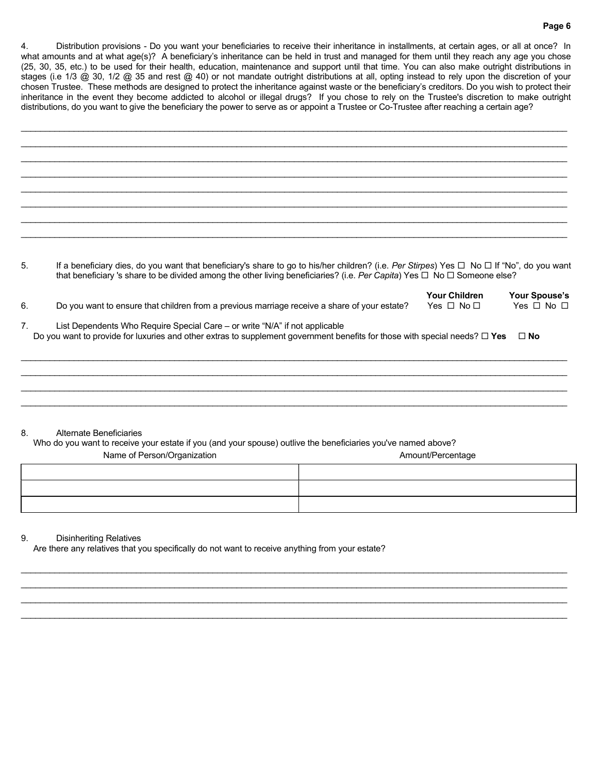#### Page 6

4. Distribution provisions - Do you want your beneficiaries to receive their inheritance in installments, at certain ages, or all at once? In what amounts and at what age(s)? A beneficiary's inheritance can be held in trust and managed for them until they reach any age you chose (25, 30, 35, etc.) to be used for their health, education, maintenance and support until that time. You can also make outright distributions in stages (i.e 1/3 @ 30, 1/2 @ 35 and rest @ 40) or not mandate outright distributions at all, opting instead to rely upon the discretion of your chosen Trustee. These methods are designed to protect the inheritance against waste or the beneficiary's creditors. Do you wish to protect their inheritance in the event they become addicted to alcohol or illegal drugs? If you chose to rely on the Trustee's discretion to make outright distributions, do you want to give the beneficiary the power to serve as or appoint a Trustee or Co-Trustee after reaching a certain age?

| 5. | If a beneficiary dies, do you want that beneficiary's share to go to his/her children? (i.e. Per Stirpes) Yes $\Box$ No $\Box$ If "No", do you want<br>that beneficiary 's share to be divided among the other living beneficiaries? (i.e. Per Capita) Yes $\Box$ No $\Box$ Someone else? |
|----|-------------------------------------------------------------------------------------------------------------------------------------------------------------------------------------------------------------------------------------------------------------------------------------------|
| 6. | <b>Your Children</b><br>Your Spouse's<br>Yes $\Box$ No $\Box$<br>Yes $\Box$ No $\Box$<br>Do you want to ensure that children from a previous marriage receive a share of your estate?                                                                                                     |
| 7. | List Dependents Who Require Special Care – or write "N/A" if not applicable<br>Do you want to provide for luxuries and other extras to supplement government benefits for those with special needs? $\Box$ Yes<br>$\Box$ No                                                               |
|    |                                                                                                                                                                                                                                                                                           |
|    |                                                                                                                                                                                                                                                                                           |
|    |                                                                                                                                                                                                                                                                                           |
|    |                                                                                                                                                                                                                                                                                           |

#### 8. Alternate Beneficiaries

 Who do you want to receive your estate if you (and your spouse) outlive the beneficiaries you've named above? Name of Person/Organization and and the control of the Amount/Percentage Amount/Percentage

 $\mathcal{L}_\mathcal{L} = \{ \mathcal{L}_\mathcal{L} = \{ \mathcal{L}_\mathcal{L} = \{ \mathcal{L}_\mathcal{L} = \{ \mathcal{L}_\mathcal{L} = \{ \mathcal{L}_\mathcal{L} = \{ \mathcal{L}_\mathcal{L} = \{ \mathcal{L}_\mathcal{L} = \{ \mathcal{L}_\mathcal{L} = \{ \mathcal{L}_\mathcal{L} = \{ \mathcal{L}_\mathcal{L} = \{ \mathcal{L}_\mathcal{L} = \{ \mathcal{L}_\mathcal{L} = \{ \mathcal{L}_\mathcal{L} = \{ \mathcal{L}_\mathcal{$  $\mathcal{L}_\mathcal{L} = \{ \mathcal{L}_\mathcal{L} = \{ \mathcal{L}_\mathcal{L} = \{ \mathcal{L}_\mathcal{L} = \{ \mathcal{L}_\mathcal{L} = \{ \mathcal{L}_\mathcal{L} = \{ \mathcal{L}_\mathcal{L} = \{ \mathcal{L}_\mathcal{L} = \{ \mathcal{L}_\mathcal{L} = \{ \mathcal{L}_\mathcal{L} = \{ \mathcal{L}_\mathcal{L} = \{ \mathcal{L}_\mathcal{L} = \{ \mathcal{L}_\mathcal{L} = \{ \mathcal{L}_\mathcal{L} = \{ \mathcal{L}_\mathcal{$ \_\_\_\_\_\_\_\_\_\_\_\_\_\_\_\_\_\_\_\_\_\_\_\_\_\_\_\_\_\_\_\_\_\_\_\_\_\_\_\_\_\_\_\_\_\_\_\_\_\_\_\_\_\_\_\_\_\_\_\_\_\_\_\_\_\_\_\_\_\_\_\_\_\_\_\_\_\_\_\_\_\_\_\_\_\_\_\_\_\_\_\_\_\_\_\_\_\_\_\_\_\_\_\_\_\_\_\_\_\_\_\_\_\_  $\mathcal{L}_\mathcal{L} = \{ \mathcal{L}_\mathcal{L} = \{ \mathcal{L}_\mathcal{L} = \{ \mathcal{L}_\mathcal{L} = \{ \mathcal{L}_\mathcal{L} = \{ \mathcal{L}_\mathcal{L} = \{ \mathcal{L}_\mathcal{L} = \{ \mathcal{L}_\mathcal{L} = \{ \mathcal{L}_\mathcal{L} = \{ \mathcal{L}_\mathcal{L} = \{ \mathcal{L}_\mathcal{L} = \{ \mathcal{L}_\mathcal{L} = \{ \mathcal{L}_\mathcal{L} = \{ \mathcal{L}_\mathcal{L} = \{ \mathcal{L}_\mathcal{$ 

#### 9. Disinheriting Relatives

Are there any relatives that you specifically do not want to receive anything from your estate?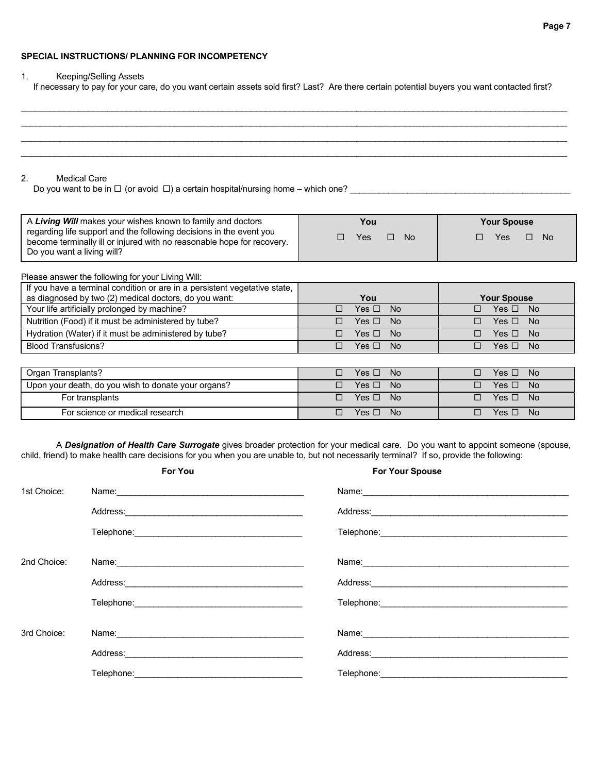# SPECIAL INSTRUCTIONS/ PLANNING FOR INCOMPETENCY

#### 1. Keeping/Selling Assets

If necessary to pay for your care, do you want certain assets sold first? Last? Are there certain potential buyers you want contacted first?

 $\mathcal{L}_\mathcal{L} = \{ \mathcal{L}_\mathcal{L} = \{ \mathcal{L}_\mathcal{L} = \{ \mathcal{L}_\mathcal{L} = \{ \mathcal{L}_\mathcal{L} = \{ \mathcal{L}_\mathcal{L} = \{ \mathcal{L}_\mathcal{L} = \{ \mathcal{L}_\mathcal{L} = \{ \mathcal{L}_\mathcal{L} = \{ \mathcal{L}_\mathcal{L} = \{ \mathcal{L}_\mathcal{L} = \{ \mathcal{L}_\mathcal{L} = \{ \mathcal{L}_\mathcal{L} = \{ \mathcal{L}_\mathcal{L} = \{ \mathcal{L}_\mathcal{$ 

| 2.<br><b>Medical Care</b><br>Do you want to be in $\Box$ (or avoid $\Box$ ) a certain hospital/nursing home – which one?                                                                                                                   |                                        |                                                       |
|--------------------------------------------------------------------------------------------------------------------------------------------------------------------------------------------------------------------------------------------|----------------------------------------|-------------------------------------------------------|
| A Living Will makes your wishes known to family and doctors<br>regarding life support and the following decisions in the event you<br>become terminally ill or injured with no reasonable hope for recovery.<br>Do you want a living will? | You<br>Yes<br><b>No</b><br>п<br>$\Box$ | <b>Your Spouse</b><br>Yes<br>$\Box$<br><b>No</b><br>П |
| Please answer the following for your Living Will:                                                                                                                                                                                          |                                        |                                                       |
| If you have a terminal condition or are in a persistent vegetative state,<br>as diagnosed by two (2) medical doctors, do you want:                                                                                                         | You                                    | <b>Your Spouse</b>                                    |
| Your life artificially prolonged by machine?                                                                                                                                                                                               | <b>No</b><br>Yes $\Box$<br>п           | Yes $\Box$<br><b>No</b><br>П                          |
| Nutrition (Food) if it must be administered by tube?                                                                                                                                                                                       | Yes $\square$<br><b>No</b><br>П        | Yes $\Box$<br><b>No</b><br>П                          |
| Hydration (Water) if it must be administered by tube?                                                                                                                                                                                      | Yes $\Box$<br><b>No</b><br>П           | Yes $\Box$<br>No<br>П                                 |
| <b>Blood Transfusions?</b>                                                                                                                                                                                                                 | Yes $\Box$<br><b>No</b><br>П           | Yes $\Box$<br>П<br><b>No</b>                          |
| Organ Transplants?                                                                                                                                                                                                                         | Yes $\Box$<br><b>No</b><br>П           | Yes $\Box$<br><b>No</b><br>П                          |
| Upon your death, do you wish to donate your organs?                                                                                                                                                                                        | Yes $\Box$<br><b>No</b><br>П           | Yes $\Box$<br><b>No</b><br>п                          |
| For transplants                                                                                                                                                                                                                            | Yes $\Box$<br><b>No</b><br>□           | Yes $\Box$<br><b>No</b><br>П                          |
| For science or medical research                                                                                                                                                                                                            | $\Box$<br>Yes $\square$<br><b>No</b>   | Yes $\Box$<br><b>No</b><br>П                          |

|             | <b>For You</b>                                                                                                 | <b>For Your Spouse</b> |
|-------------|----------------------------------------------------------------------------------------------------------------|------------------------|
| 1st Choice: |                                                                                                                |                        |
|             |                                                                                                                |                        |
|             |                                                                                                                |                        |
| 2nd Choice: |                                                                                                                |                        |
|             |                                                                                                                | Address: Address:      |
|             | Telephone: The contract of the contract of the contract of the contract of the contract of the contract of the |                        |
|             |                                                                                                                |                        |
| 3rd Choice: |                                                                                                                | Name: Name:            |
|             |                                                                                                                | Address: Address:      |
|             | Telephone:                                                                                                     |                        |